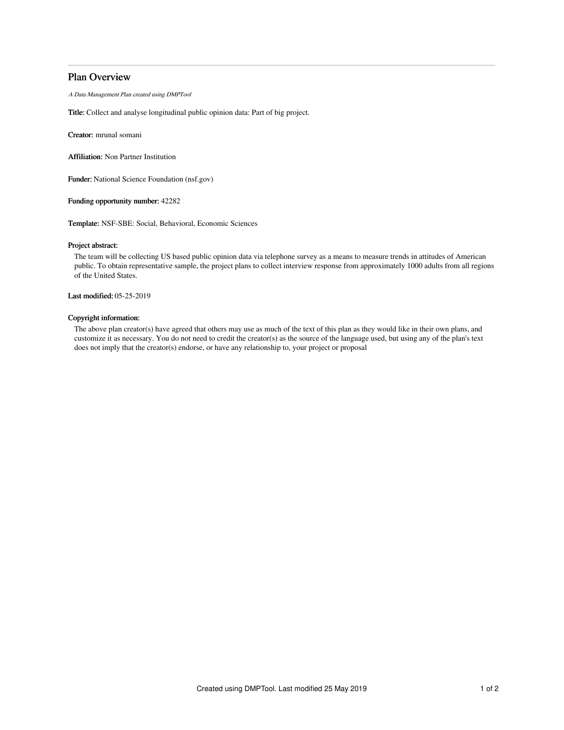# Plan Overview

A Data Management Plan created using DMPTool

Title: Collect and analyse longitudinal public opinion data: Part of big project.

Creator: mrunal somani

Affiliation: Non Partner Institution

Funder: National Science Foundation (nsf.gov)

Funding opportunity number: 42282

Template: NSF-SBE: Social, Behavioral, Economic Sciences

## Project abstract:

The team will be collecting US based public opinion data via telephone survey as a means to measure trends in attitudes of American public. To obtain representative sample, the project plans to collect interview response from approximately 1000 adults from all regions of the United States.

# Last modified: 05-25-2019

## Copyright information:

The above plan creator(s) have agreed that others may use as much of the text of this plan as they would like in their own plans, and customize it as necessary. You do not need to credit the creator(s) as the source of the language used, but using any of the plan's text does not imply that the creator(s) endorse, or have any relationship to, your project or proposal